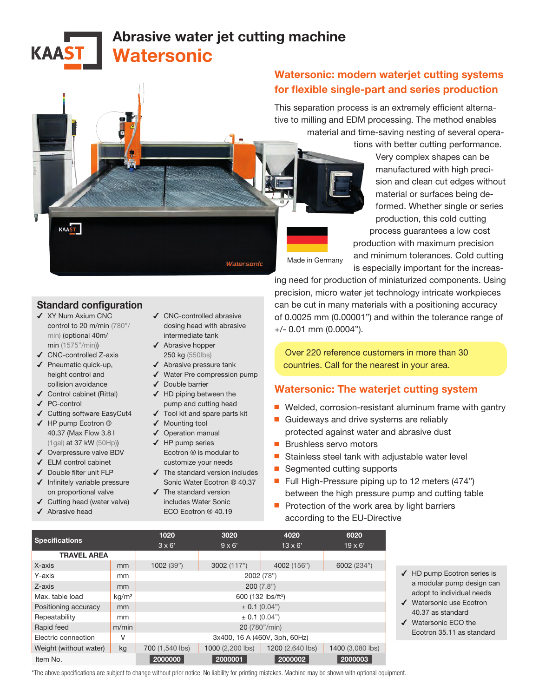# Abrasive water jet cutting machine **Watersonic**

## Watersonic: modern waterjet cutting systems for flexible single-part and series production

This separation process is an extremely efficient alternative to milling and EDM processing. The method enables material and time-saving nesting of several opera-

tions with better cutting performance.

Very complex shapes can be manufactured with high precision and clean cut edges without material or surfaces being deformed. Whether single or series production, this cold cutting process guarantees a low cost production with maximum precision and minimum tolerances. Cold cutting

Made in Germany

is especially important for the increasing need for production of miniaturized components. Using precision, micro water jet technology intricate workpieces can be cut in many materials with a positioning accuracy

of 0.0025 mm (0.00001") and within the tolerance range of +/- 0.01 mm (0.0004").

Over 220 reference customers in more than 30 countries. Call for the nearest in your area.

## Watersonic: The waterjet cutting system

- Welded, corrosion-resistant aluminum frame with gantry
- Guideways and drive systems are reliably protected against water and abrasive dust
- Brushless servo motors
- Stainless steel tank with adjustable water level
- Segmented cutting supports
- Full High-Pressure piping up to 12 meters (474") between the high pressure pump and cutting table
- Protection of the work area by light barriers according to the EU-Directive

|                        |                   | 1020                           | 3020             | 4020             | 6020             |  |  |
|------------------------|-------------------|--------------------------------|------------------|------------------|------------------|--|--|
| <b>Specifications</b>  |                   | $3 \times 6'$                  | $9 \times 6'$    | $13 \times 6'$   | $19 \times 6'$   |  |  |
| <b>TRAVEL AREA</b>     |                   |                                |                  |                  |                  |  |  |
| X-axis                 | mm                | 1002 (39")                     | 3002 (117")      | 4002 (156")      | 6002 (234")      |  |  |
| Y-axis                 | mm                | 2002 (78")                     |                  |                  |                  |  |  |
| Z-axis                 | mm                | 200(7.8")                      |                  |                  |                  |  |  |
| Max. table load        | kg/m <sup>2</sup> | 600 (132 lbs/ft <sup>2</sup> ) |                  |                  |                  |  |  |
| Positioning accuracy   | mm                | $\pm$ 0.1 (0.04")              |                  |                  |                  |  |  |
| Repeatability          | mm                | $\pm$ 0.1 (0.04")              |                  |                  |                  |  |  |
| Rapid feed             | m/min             | 20 (780"/min)                  |                  |                  |                  |  |  |
| Electric connection    | V                 | 3x400, 16 A (460V, 3ph, 60Hz)  |                  |                  |                  |  |  |
| Weight (without water) | kg                | 700 (1,540 lbs)                | 1000 (2,200 lbs) | 1200 (2,640 lbs) | 1400 (3,080 lbs) |  |  |
|                        |                   |                                |                  |                  |                  |  |  |

- ✔ HD pump Ecotron series is a modular pump design can adopt to individual needs
- ✔ Watersonic use Ecotron 40.37 as standard
- ✔ Watersonic ECO the Ecotron 35.11 as standard

#### Standard configuration

- ✔ XY Num Axium CNC control to 20 m/min (780"/ min) (optional 40m/ min (1575"/min))
- ✔ CNC-controlled Z-axis

KAAST

**KAA** 

- ✔ Pneumatic quick-up, height control and collision avoidance
- ✔ Control cabinet (Rittal) ✔ PC-control
- ✔ Cutting software EasyCut4
- ✔ HP pump Ecotron ® 40.37 (Max Flow 3.8 l (1gal) at 37 kW (50Hp))
- ✔ Overpressure valve BDV
- ✔ ELM control cabinet
- ✔ Double filter unit FLP
- ✔ Infinitely variable pressure on proportional valve
- ✔ Cutting head (water valve)
- ◆ Abrasive head
- ✔ CNC-controlled abrasive dosing head with abrasive intermediate tank
- ✔ Tool kit and spare parts kit
- ✔ Mounting tool
- ✔ Operation manual
- Ecotron ® is modular to
- ✔ The standard version includes
- Sonic Water Ecotron ® 40.37 ✔ The standard version

\*The above specifications are subject to change without prior notice. No liability for printing mistakes. Machine may be shown with optional equipment.

Item No. 2000000 2000000 2000000 20000001 20000002 2000003



- -
	-
	- ✔ HP pump series
	- customize your needs
	- - includes Water Sonic ECO Ecotron ® 40.19

Watersonic